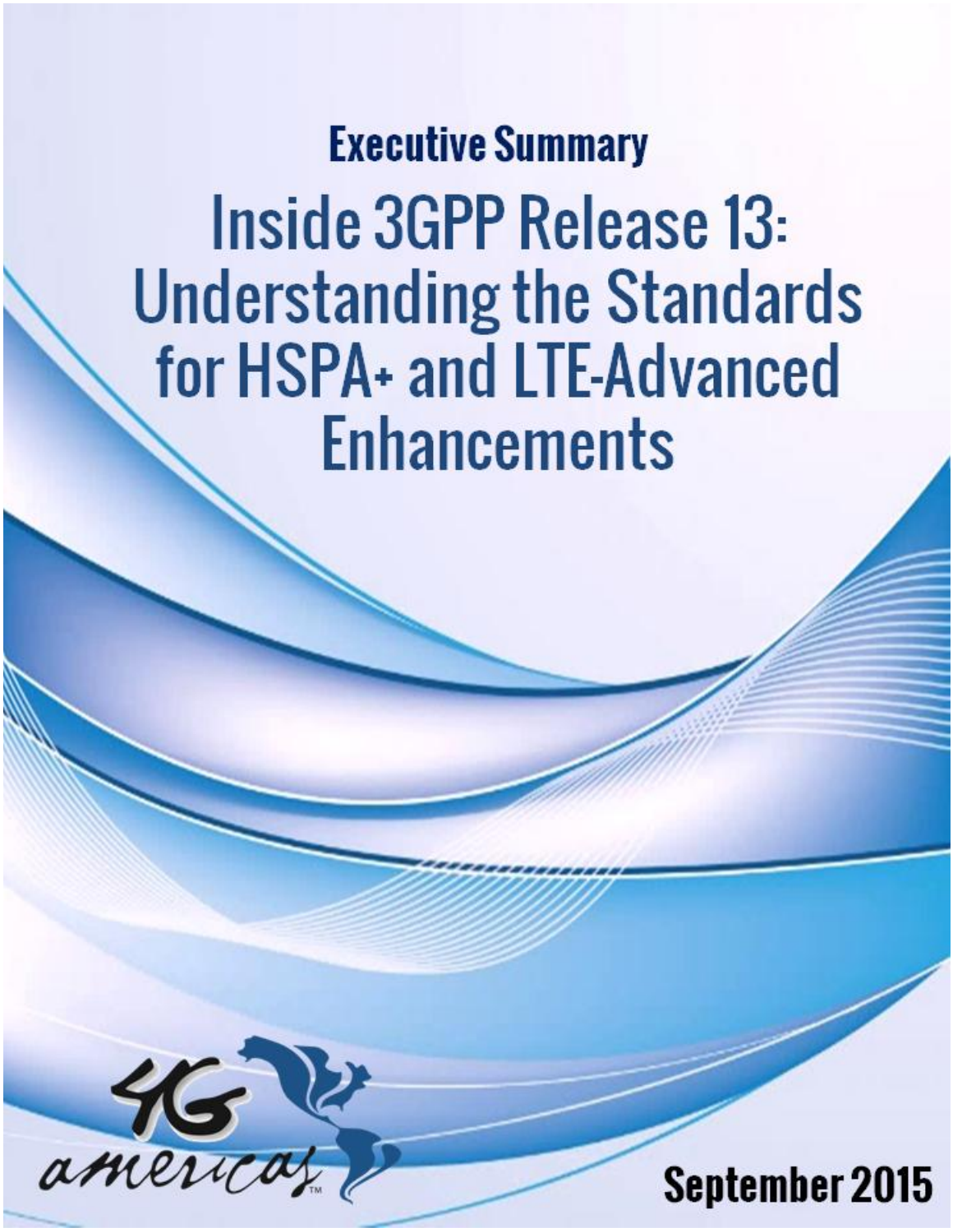**Executive Summary** 

Inside 3GPP Release 13: **Understanding the Standards** for HSPA+ and LTE-Advanced **Enhancements** 



September 2015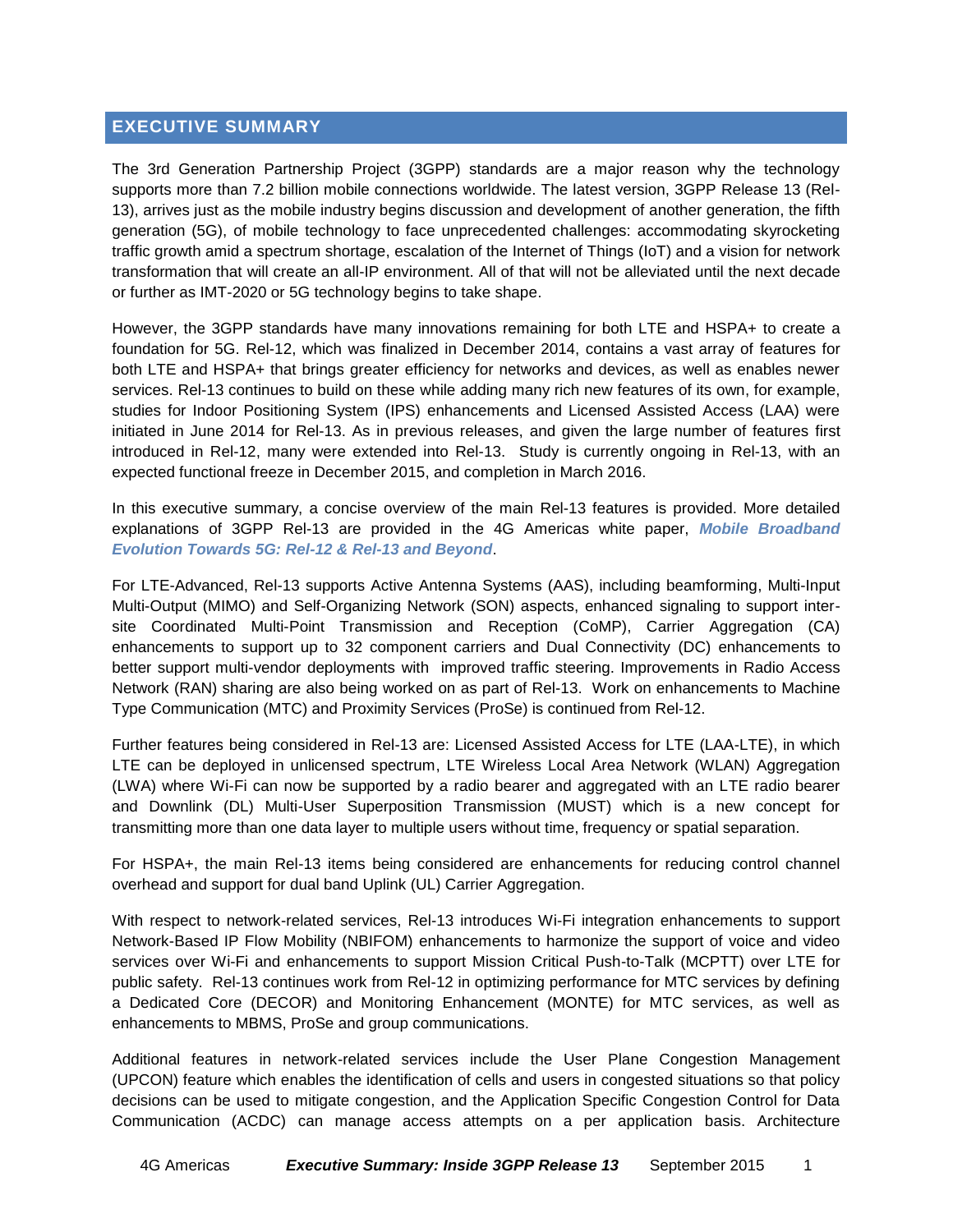#### **EXECUTIVE SUMMARY**

The 3rd Generation Partnership Project (3GPP) standards are a major reason why the technology supports more than 7.2 billion mobile connections worldwide. The latest version, 3GPP Release 13 (Rel-13), arrives just as the mobile industry begins discussion and development of another generation, the fifth generation (5G), of mobile technology to face unprecedented challenges: accommodating skyrocketing traffic growth amid a spectrum shortage, escalation of the Internet of Things (IoT) and a vision for network transformation that will create an all-IP environment. All of that will not be alleviated until the next decade or further as IMT-2020 or 5G technology begins to take shape.

However, the 3GPP standards have many innovations remaining for both LTE and HSPA+ to create a foundation for 5G. Rel-12, which was finalized in December 2014, contains a vast array of features for both LTE and HSPA+ that brings greater efficiency for networks and devices, as well as enables newer services. Rel-13 continues to build on these while adding many rich new features of its own, for example, studies for Indoor Positioning System (IPS) enhancements and Licensed Assisted Access (LAA) were initiated in June 2014 for Rel-13. As in previous releases, and given the large number of features first introduced in Rel-12, many were extended into Rel-13. Study is currently ongoing in Rel-13, with an expected functional freeze in December 2015, and completion in March 2016.

In this executive summary, a concise overview of the main Rel-13 features is provided. More detailed explanations of 3GPP Rel-13 are provided in the 4G Americas white paper, *[Mobile Broadband](http://www.4gamericas.org/files/8914/3576/4557/4G_Americas_Mobile_Broadband_Evolution_Toward_5G-Rel-12_Rel-13_June_2015x.pdf)  [Evolution Towards 5G: Rel-12 & Rel-13 and Beyond](http://www.4gamericas.org/files/8914/3576/4557/4G_Americas_Mobile_Broadband_Evolution_Toward_5G-Rel-12_Rel-13_June_2015x.pdf)*.

For LTE-Advanced, Rel-13 supports Active Antenna Systems (AAS), including beamforming, Multi-Input Multi-Output (MIMO) and Self-Organizing Network (SON) aspects, enhanced signaling to support intersite Coordinated Multi-Point Transmission and Reception (CoMP), Carrier Aggregation (CA) enhancements to support up to 32 component carriers and Dual Connectivity (DC) enhancements to better support multi-vendor deployments with improved traffic steering. Improvements in Radio Access Network (RAN) sharing are also being worked on as part of Rel-13. Work on enhancements to Machine Type Communication (MTC) and Proximity Services (ProSe) is continued from Rel-12.

Further features being considered in Rel-13 are: Licensed Assisted Access for LTE (LAA-LTE), in which LTE can be deployed in unlicensed spectrum, LTE Wireless Local Area Network (WLAN) Aggregation (LWA) where Wi-Fi can now be supported by a radio bearer and aggregated with an LTE radio bearer and Downlink (DL) Multi-User Superposition Transmission (MUST) which is a new concept for transmitting more than one data layer to multiple users without time, frequency or spatial separation.

For HSPA+, the main Rel-13 items being considered are enhancements for reducing control channel overhead and support for dual band Uplink (UL) Carrier Aggregation.

With respect to network-related services, Rel-13 introduces Wi-Fi integration enhancements to support Network-Based IP Flow Mobility (NBIFOM) enhancements to harmonize the support of voice and video services over Wi-Fi and enhancements to support Mission Critical Push-to-Talk (MCPTT) over LTE for public safety. Rel-13 continues work from Rel-12 in optimizing performance for MTC services by defining a Dedicated Core (DECOR) and Monitoring Enhancement (MONTE) for MTC services, as well as enhancements to MBMS, ProSe and group communications.

Additional features in network-related services include the User Plane Congestion Management (UPCON) feature which enables the identification of cells and users in congested situations so that policy decisions can be used to mitigate congestion, and the Application Specific Congestion Control for Data Communication (ACDC) can manage access attempts on a per application basis. Architecture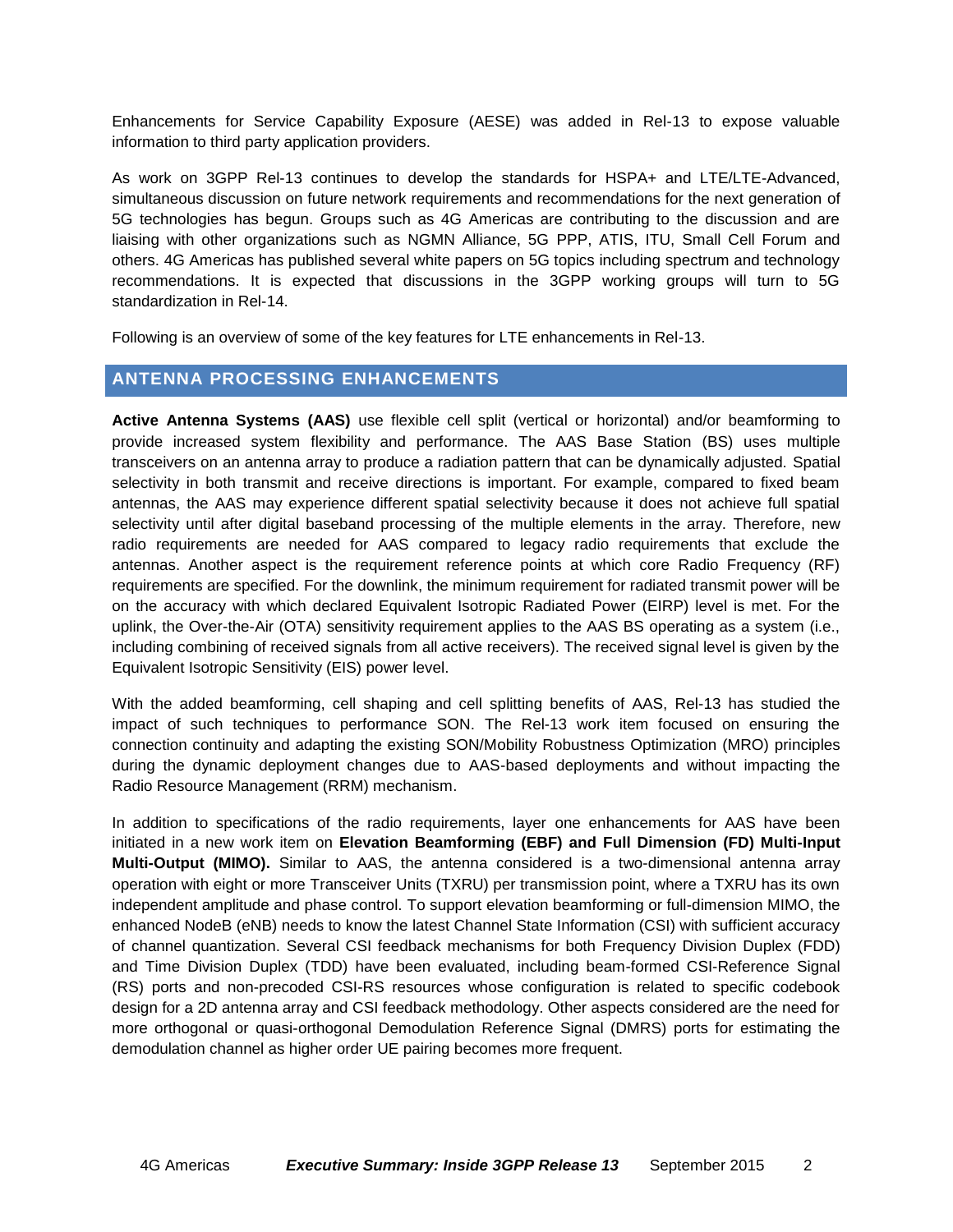Enhancements for Service Capability Exposure (AESE) was added in Rel-13 to expose valuable information to third party application providers.

As work on 3GPP Rel-13 continues to develop the standards for HSPA+ and LTE/LTE-Advanced, simultaneous discussion on future network requirements and recommendations for the next generation of 5G technologies has begun. Groups such as 4G Americas are contributing to the discussion and are liaising with other organizations such as NGMN Alliance, 5G PPP, ATIS, ITU, Small Cell Forum and others. 4G Americas has published several white papers on 5G topics including spectrum and technology recommendations. It is expected that discussions in the 3GPP working groups will turn to 5G standardization in Rel-14.

Following is an overview of some of the key features for LTE enhancements in Rel-13.

# **ANTENNA PROCESSING ENHANCEMENTS**

**Active Antenna Systems (AAS)** use flexible cell split (vertical or horizontal) and/or beamforming to provide increased system flexibility and performance. The AAS Base Station (BS) uses multiple transceivers on an antenna array to produce a radiation pattern that can be dynamically adjusted. Spatial selectivity in both transmit and receive directions is important. For example, compared to fixed beam antennas, the AAS may experience different spatial selectivity because it does not achieve full spatial selectivity until after digital baseband processing of the multiple elements in the array. Therefore, new radio requirements are needed for AAS compared to legacy radio requirements that exclude the antennas. Another aspect is the requirement reference points at which core Radio Frequency (RF) requirements are specified. For the downlink, the minimum requirement for radiated transmit power will be on the accuracy with which declared Equivalent Isotropic Radiated Power (EIRP) level is met. For the uplink, the Over-the-Air (OTA) sensitivity requirement applies to the AAS BS operating as a system (i.e., including combining of received signals from all active receivers). The received signal level is given by the Equivalent Isotropic Sensitivity (EIS) power level.

With the added beamforming, cell shaping and cell splitting benefits of AAS, Rel-13 has studied the impact of such techniques to performance SON. The Rel-13 work item focused on ensuring the connection continuity and adapting the existing SON/Mobility Robustness Optimization (MRO) principles during the dynamic deployment changes due to AAS-based deployments and without impacting the Radio Resource Management (RRM) mechanism.

In addition to specifications of the radio requirements, layer one enhancements for AAS have been initiated in a new work item on **Elevation Beamforming (EBF) and Full Dimension (FD) Multi-Input Multi-Output (MIMO).** Similar to AAS, the antenna considered is a two-dimensional antenna array operation with eight or more Transceiver Units (TXRU) per transmission point, where a TXRU has its own independent amplitude and phase control. To support elevation beamforming or full-dimension MIMO, the enhanced NodeB (eNB) needs to know the latest Channel State Information (CSI) with sufficient accuracy of channel quantization. Several CSI feedback mechanisms for both Frequency Division Duplex (FDD) and Time Division Duplex (TDD) have been evaluated, including beam-formed CSI-Reference Signal (RS) ports and non-precoded CSI-RS resources whose configuration is related to specific codebook design for a 2D antenna array and CSI feedback methodology. Other aspects considered are the need for more orthogonal or quasi-orthogonal Demodulation Reference Signal (DMRS) ports for estimating the demodulation channel as higher order UE pairing becomes more frequent.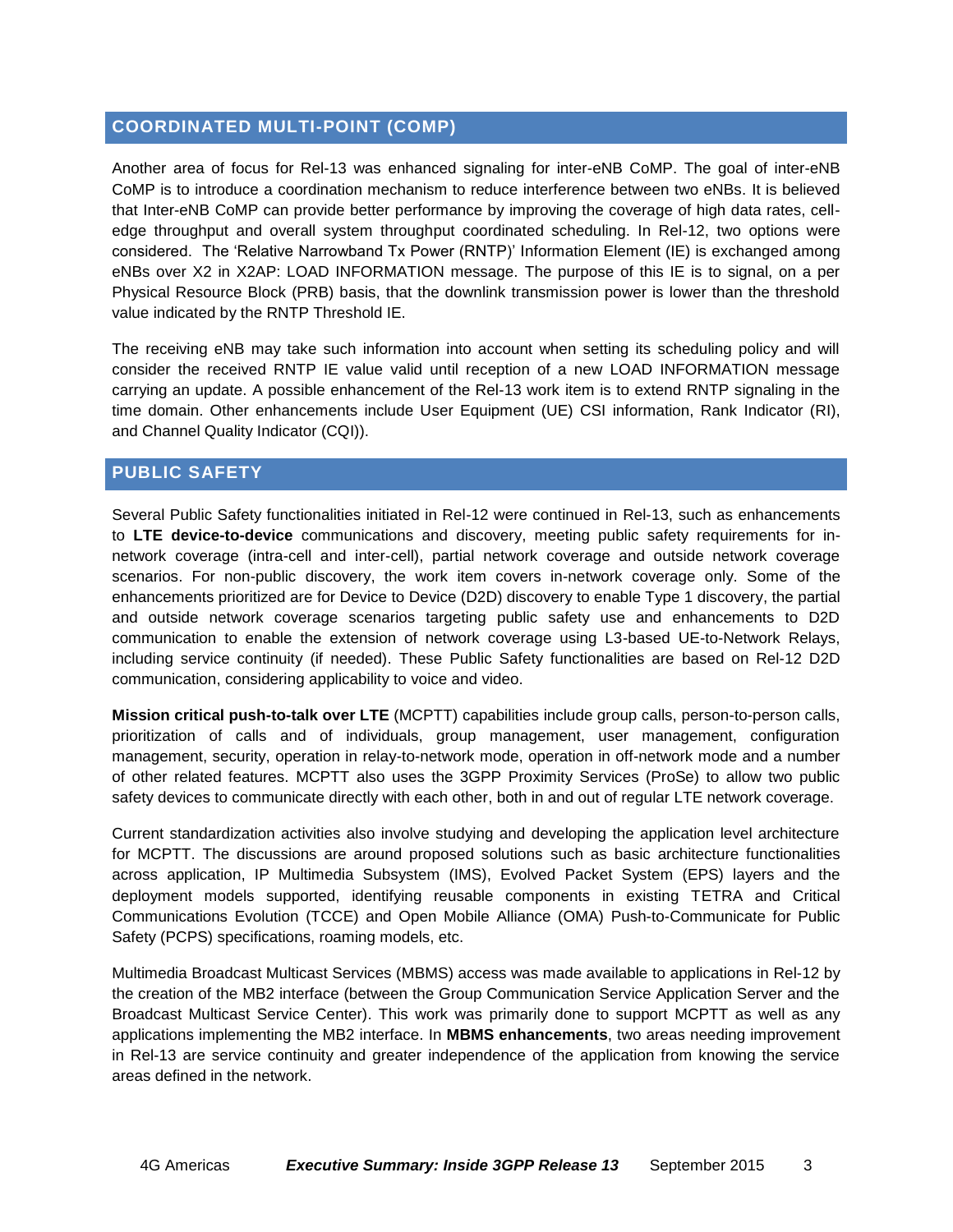### **COORDINATED MULTI-POINT (COMP)**

Another area of focus for Rel-13 was enhanced signaling for inter-eNB CoMP. The goal of inter-eNB CoMP is to introduce a coordination mechanism to reduce interference between two eNBs. It is believed that Inter-eNB CoMP can provide better performance by improving the coverage of high data rates, celledge throughput and overall system throughput coordinated scheduling. In Rel-12, two options were considered. The 'Relative Narrowband Tx Power (RNTP)' Information Element (IE) is exchanged among eNBs over X2 in X2AP: LOAD INFORMATION message. The purpose of this IE is to signal, on a per Physical Resource Block (PRB) basis, that the downlink transmission power is lower than the threshold value indicated by the RNTP Threshold IE.

The receiving eNB may take such information into account when setting its scheduling policy and will consider the received RNTP IE value valid until reception of a new LOAD INFORMATION message carrying an update. A possible enhancement of the Rel-13 work item is to extend RNTP signaling in the time domain. Other enhancements include User Equipment (UE) CSI information, Rank Indicator (RI), and Channel Quality Indicator (CQI)).

# **PUBLIC SAFETY**

Several Public Safety functionalities initiated in Rel-12 were continued in Rel-13, such as enhancements to **LTE device-to-device** communications and discovery, meeting public safety requirements for innetwork coverage (intra-cell and inter-cell), partial network coverage and outside network coverage scenarios. For non-public discovery, the work item covers in-network coverage only. Some of the enhancements prioritized are for Device to Device (D2D) discovery to enable Type 1 discovery, the partial and outside network coverage scenarios targeting public safety use and enhancements to D2D communication to enable the extension of network coverage using L3-based UE-to-Network Relays, including service continuity (if needed). These Public Safety functionalities are based on Rel-12 D2D communication, considering applicability to voice and video.

**Mission critical push-to-talk over LTE** (MCPTT) capabilities include group calls, person-to-person calls, prioritization of calls and of individuals, group management, user management, configuration management, security, operation in relay-to-network mode, operation in off-network mode and a number of other related features. MCPTT also uses the 3GPP Proximity Services (ProSe) to allow two public safety devices to communicate directly with each other, both in and out of regular LTE network coverage.

Current standardization activities also involve studying and developing the application level architecture for MCPTT. The discussions are around proposed solutions such as basic architecture functionalities across application, IP Multimedia Subsystem (IMS), Evolved Packet System (EPS) layers and the deployment models supported, identifying reusable components in existing TETRA and Critical Communications Evolution (TCCE) and Open Mobile Alliance (OMA) Push-to-Communicate for Public Safety (PCPS) specifications, roaming models, etc.

Multimedia Broadcast Multicast Services (MBMS) access was made available to applications in Rel-12 by the creation of the MB2 interface (between the Group Communication Service Application Server and the Broadcast Multicast Service Center). This work was primarily done to support MCPTT as well as any applications implementing the MB2 interface. In **MBMS enhancements**, two areas needing improvement in Rel-13 are service continuity and greater independence of the application from knowing the service areas defined in the network.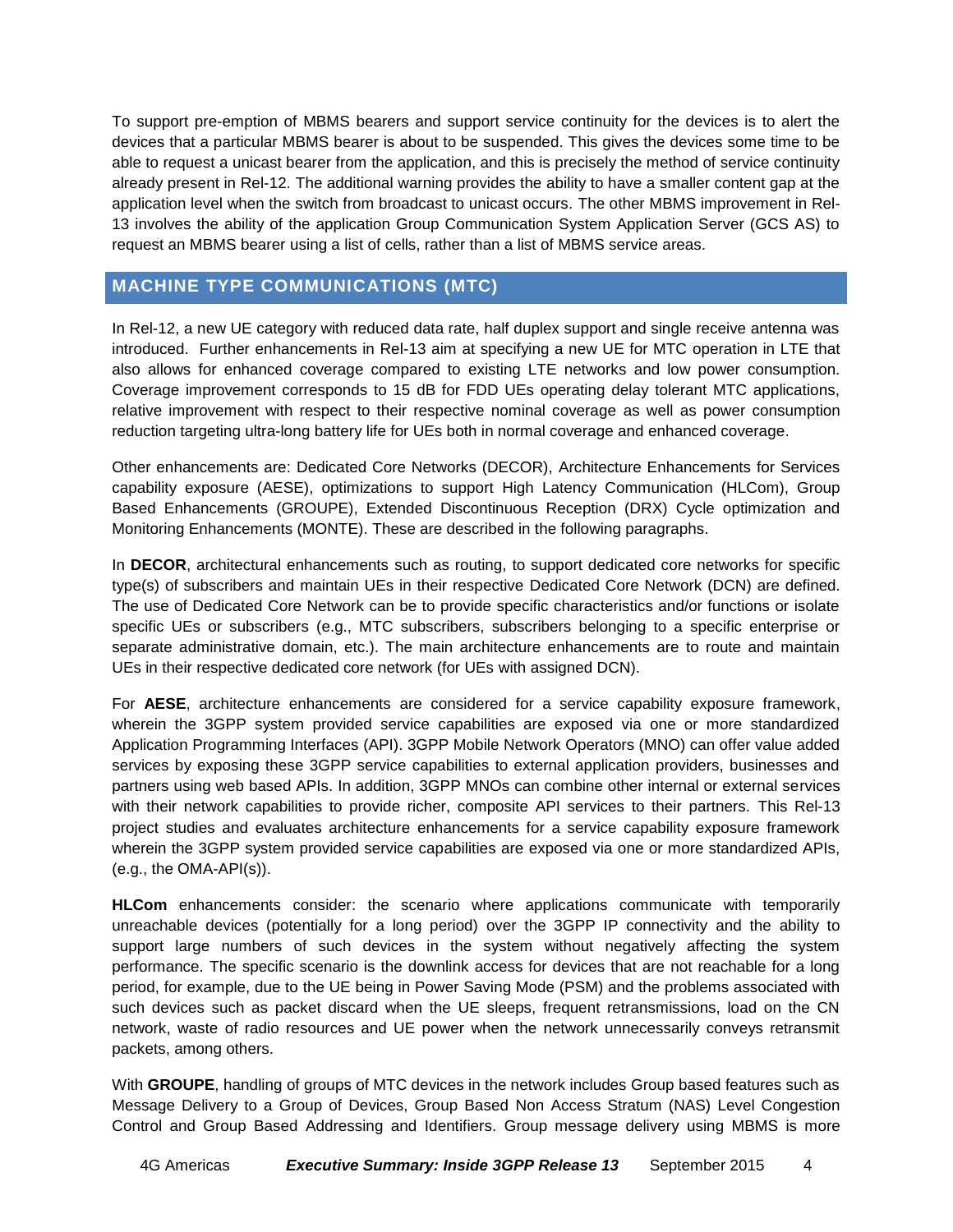To support pre-emption of MBMS bearers and support service continuity for the devices is to alert the devices that a particular MBMS bearer is about to be suspended. This gives the devices some time to be able to request a unicast bearer from the application, and this is precisely the method of service continuity already present in Rel-12. The additional warning provides the ability to have a smaller content gap at the application level when the switch from broadcast to unicast occurs. The other MBMS improvement in Rel-13 involves the ability of the application Group Communication System Application Server (GCS AS) to request an MBMS bearer using a list of cells, rather than a list of MBMS service areas.

# **MACHINE TYPE COMMUNICATIONS (MTC)**

In Rel-12, a new UE category with reduced data rate, half duplex support and single receive antenna was introduced. Further enhancements in Rel-13 aim at specifying a new UE for MTC operation in LTE that also allows for enhanced coverage compared to existing LTE networks and low power consumption. Coverage improvement corresponds to 15 dB for FDD UEs operating delay tolerant MTC applications, relative improvement with respect to their respective nominal coverage as well as power consumption reduction targeting ultra-long battery life for UEs both in normal coverage and enhanced coverage.

Other enhancements are: Dedicated Core Networks (DECOR), Architecture Enhancements for Services capability exposure (AESE), optimizations to support High Latency Communication (HLCom), Group Based Enhancements (GROUPE), Extended Discontinuous Reception (DRX) Cycle optimization and Monitoring Enhancements (MONTE). These are described in the following paragraphs.

In **DECOR**, architectural enhancements such as routing, to support dedicated core networks for specific type(s) of subscribers and maintain UEs in their respective Dedicated Core Network (DCN) are defined. The use of Dedicated Core Network can be to provide specific characteristics and/or functions or isolate specific UEs or subscribers (e.g., MTC subscribers, subscribers belonging to a specific enterprise or separate administrative domain, etc.). The main architecture enhancements are to route and maintain UEs in their respective dedicated core network (for UEs with assigned DCN).

For **AESE**, architecture enhancements are considered for a service capability exposure framework, wherein the 3GPP system provided service capabilities are exposed via one or more standardized Application Programming Interfaces (API). 3GPP Mobile Network Operators (MNO) can offer value added services by exposing these 3GPP service capabilities to external application providers, businesses and partners using web based APIs. In addition, 3GPP MNOs can combine other internal or external services with their network capabilities to provide richer, composite API services to their partners. This Rel-13 project studies and evaluates architecture enhancements for a service capability exposure framework wherein the 3GPP system provided service capabilities are exposed via one or more standardized APIs, (e.g., the OMA-API(s)).

**HLCom** enhancements consider: the scenario where applications communicate with temporarily unreachable devices (potentially for a long period) over the 3GPP IP connectivity and the ability to support large numbers of such devices in the system without negatively affecting the system performance. The specific scenario is the downlink access for devices that are not reachable for a long period, for example, due to the UE being in Power Saving Mode (PSM) and the problems associated with such devices such as packet discard when the UE sleeps, frequent retransmissions, load on the CN network, waste of radio resources and UE power when the network unnecessarily conveys retransmit packets, among others.

With **GROUPE**, handling of groups of MTC devices in the network includes Group based features such as Message Delivery to a Group of Devices, Group Based Non Access Stratum (NAS) Level Congestion Control and Group Based Addressing and Identifiers. Group message delivery using MBMS is more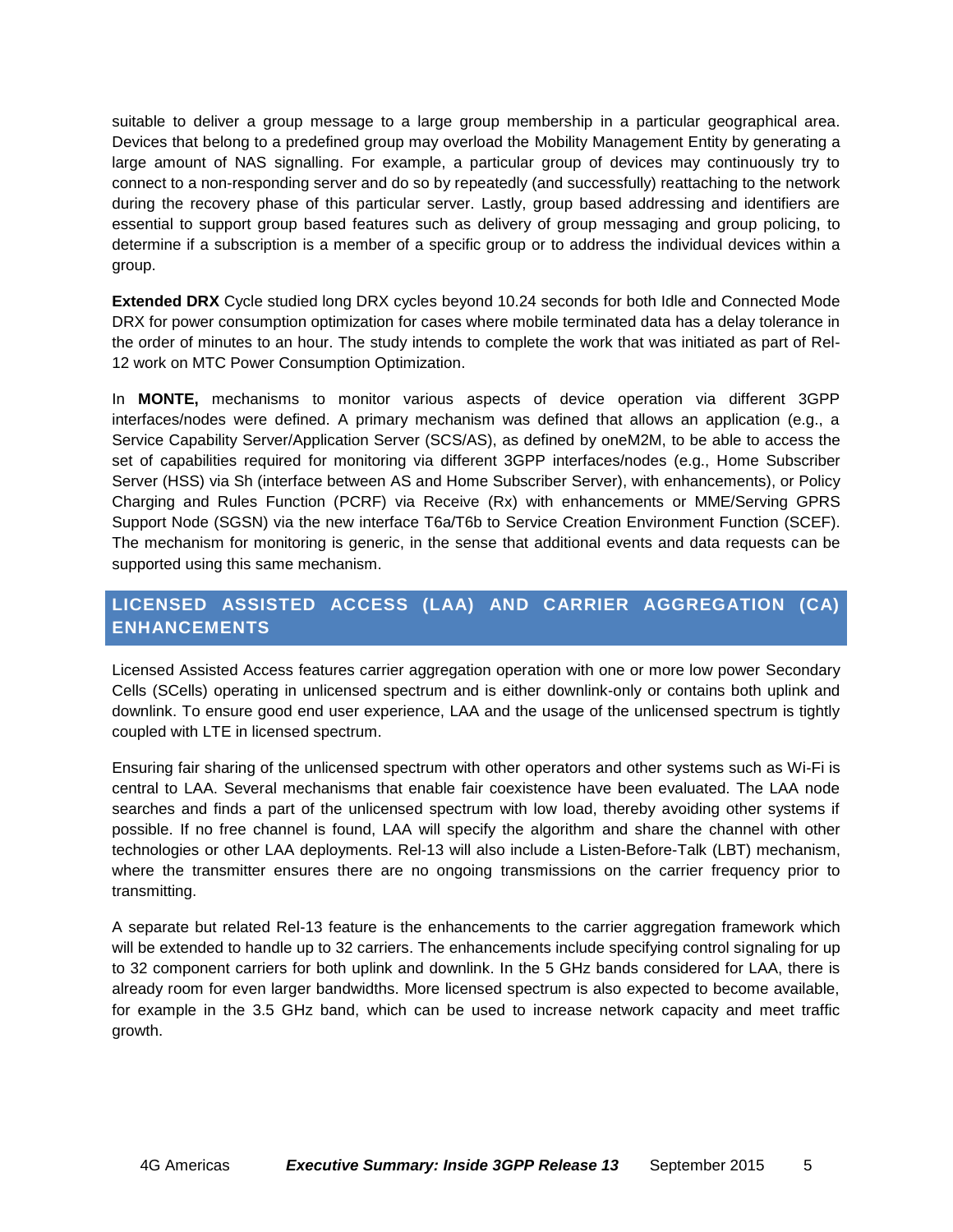suitable to deliver a group message to a large group membership in a particular geographical area. Devices that belong to a predefined group may overload the Mobility Management Entity by generating a large amount of NAS signalling. For example, a particular group of devices may continuously try to connect to a non-responding server and do so by repeatedly (and successfully) reattaching to the network during the recovery phase of this particular server. Lastly, group based addressing and identifiers are essential to support group based features such as delivery of group messaging and group policing, to determine if a subscription is a member of a specific group or to address the individual devices within a group.

**Extended DRX** Cycle studied long DRX cycles beyond 10.24 seconds for both Idle and Connected Mode DRX for power consumption optimization for cases where mobile terminated data has a delay tolerance in the order of minutes to an hour. The study intends to complete the work that was initiated as part of Rel-12 work on MTC Power Consumption Optimization.

In **MONTE,** mechanisms to monitor various aspects of device operation via different 3GPP interfaces/nodes were defined. A primary mechanism was defined that allows an application (e.g., a Service Capability Server/Application Server (SCS/AS), as defined by oneM2M, to be able to access the set of capabilities required for monitoring via different 3GPP interfaces/nodes (e.g., Home Subscriber Server (HSS) via Sh (interface between AS and Home Subscriber Server), with enhancements), or Policy Charging and Rules Function (PCRF) via Receive (Rx) with enhancements or MME/Serving GPRS Support Node (SGSN) via the new interface T6a/T6b to Service Creation Environment Function (SCEF). The mechanism for monitoring is generic, in the sense that additional events and data requests can be supported using this same mechanism.

# **LICENSED ASSISTED ACCESS (LAA) AND CARRIER AGGREGATION (CA) ENHANCEMENTS**

Licensed Assisted Access features carrier aggregation operation with one or more low power Secondary Cells (SCells) operating in unlicensed spectrum and is either downlink-only or contains both uplink and downlink. To ensure good end user experience, LAA and the usage of the unlicensed spectrum is tightly coupled with LTE in licensed spectrum.

Ensuring fair sharing of the unlicensed spectrum with other operators and other systems such as Wi-Fi is central to LAA. Several mechanisms that enable fair coexistence have been evaluated. The LAA node searches and finds a part of the unlicensed spectrum with low load, thereby avoiding other systems if possible. If no free channel is found, LAA will specify the algorithm and share the channel with other technologies or other LAA deployments. Rel-13 will also include a Listen-Before-Talk (LBT) mechanism, where the transmitter ensures there are no ongoing transmissions on the carrier frequency prior to transmitting.

A separate but related Rel-13 feature is the enhancements to the carrier aggregation framework which will be extended to handle up to 32 carriers. The enhancements include specifying control signaling for up to 32 component carriers for both uplink and downlink. In the 5 GHz bands considered for LAA, there is already room for even larger bandwidths. More licensed spectrum is also expected to become available, for example in the 3.5 GHz band, which can be used to increase network capacity and meet traffic growth.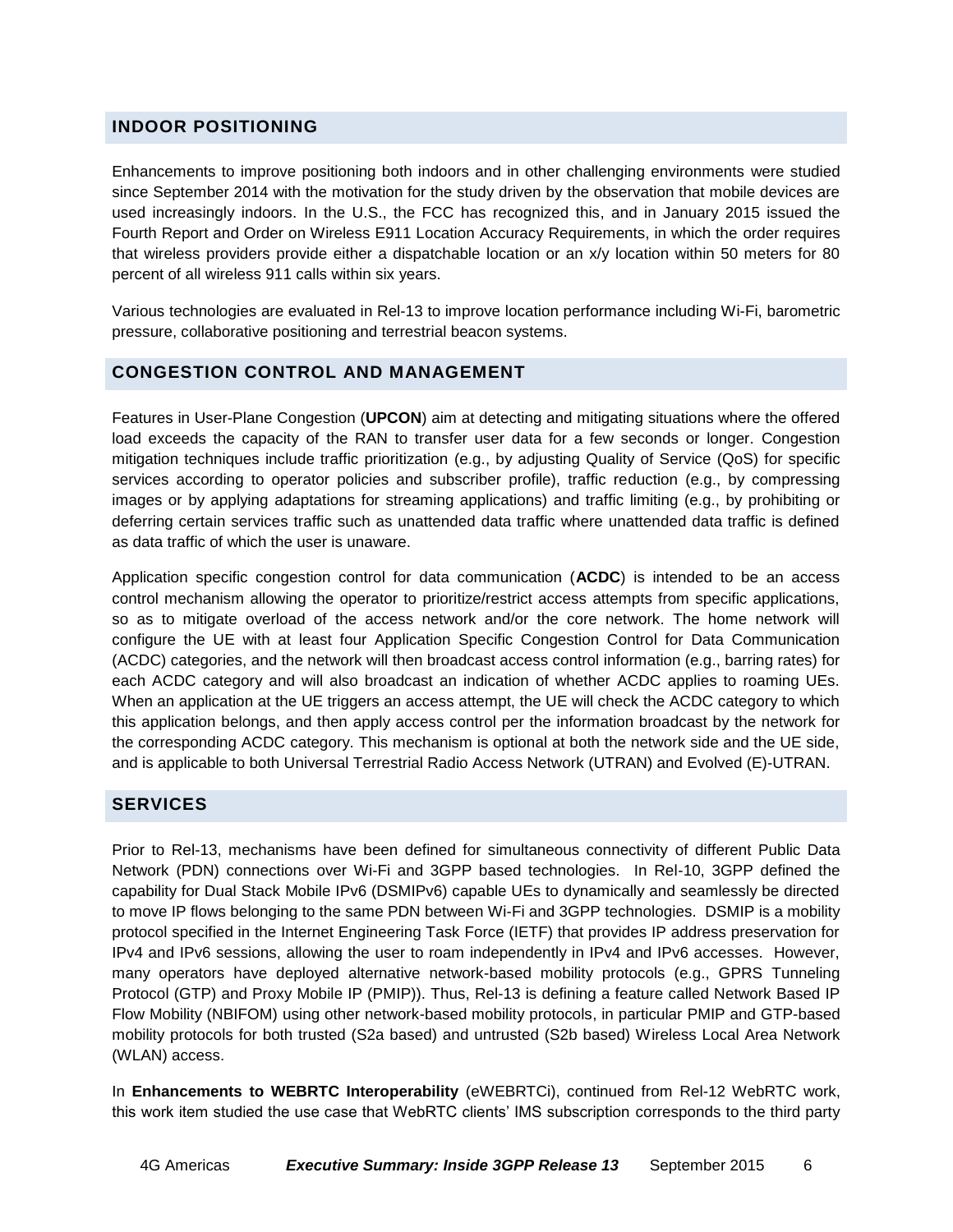## **INDOOR POSITIONING**

Enhancements to improve positioning both indoors and in other challenging environments were studied since September 2014 with the motivation for the study driven by the observation that mobile devices are used increasingly indoors. In the U.S., the FCC has recognized this, and in January 2015 issued the Fourth Report and Order on Wireless E911 Location Accuracy Requirements, in which the order requires that wireless providers provide either a dispatchable location or an x/y location within 50 meters for 80 percent of all wireless 911 calls within six years.

Various technologies are evaluated in Rel-13 to improve location performance including Wi-Fi, barometric pressure, collaborative positioning and terrestrial beacon systems.

### **CONGESTION CONTROL AND MANAGEMENT**

Features in User-Plane Congestion (**UPCON**) aim at detecting and mitigating situations where the offered load exceeds the capacity of the RAN to transfer user data for a few seconds or longer. Congestion mitigation techniques include traffic prioritization (e.g., by adjusting Quality of Service (QoS) for specific services according to operator policies and subscriber profile), traffic reduction (e.g., by compressing images or by applying adaptations for streaming applications) and traffic limiting (e.g., by prohibiting or deferring certain services traffic such as unattended data traffic where unattended data traffic is defined as data traffic of which the user is unaware.

Application specific congestion control for data communication (**ACDC**) is intended to be an access control mechanism allowing the operator to prioritize/restrict access attempts from specific applications, so as to mitigate overload of the access network and/or the core network. The home network will configure the UE with at least four Application Specific Congestion Control for Data Communication (ACDC) categories, and the network will then broadcast access control information (e.g., barring rates) for each ACDC category and will also broadcast an indication of whether ACDC applies to roaming UEs. When an application at the UE triggers an access attempt, the UE will check the ACDC category to which this application belongs, and then apply access control per the information broadcast by the network for the corresponding ACDC category. This mechanism is optional at both the network side and the UE side, and is applicable to both Universal Terrestrial Radio Access Network (UTRAN) and Evolved (E)-UTRAN.

#### **SERVICES**

Prior to Rel-13, mechanisms have been defined for simultaneous connectivity of different Public Data Network (PDN) connections over Wi-Fi and 3GPP based technologies. In Rel-10, 3GPP defined the capability for Dual Stack Mobile IPv6 (DSMIPv6) capable UEs to dynamically and seamlessly be directed to move IP flows belonging to the same PDN between Wi-Fi and 3GPP technologies. DSMIP is a mobility protocol specified in the Internet Engineering Task Force (IETF) that provides IP address preservation for IPv4 and IPv6 sessions, allowing the user to roam independently in IPv4 and IPv6 accesses. However, many operators have deployed alternative network-based mobility protocols (e.g., GPRS Tunneling Protocol (GTP) and Proxy Mobile IP (PMIP)). Thus, Rel-13 is defining a feature called Network Based IP Flow Mobility (NBIFOM) using other network-based mobility protocols, in particular PMIP and GTP-based mobility protocols for both trusted (S2a based) and untrusted (S2b based) Wireless Local Area Network (WLAN) access.

In **Enhancements to WEBRTC Interoperability** (eWEBRTCi), continued from Rel-12 WebRTC work, this work item studied the use case that WebRTC clients' IMS subscription corresponds to the third party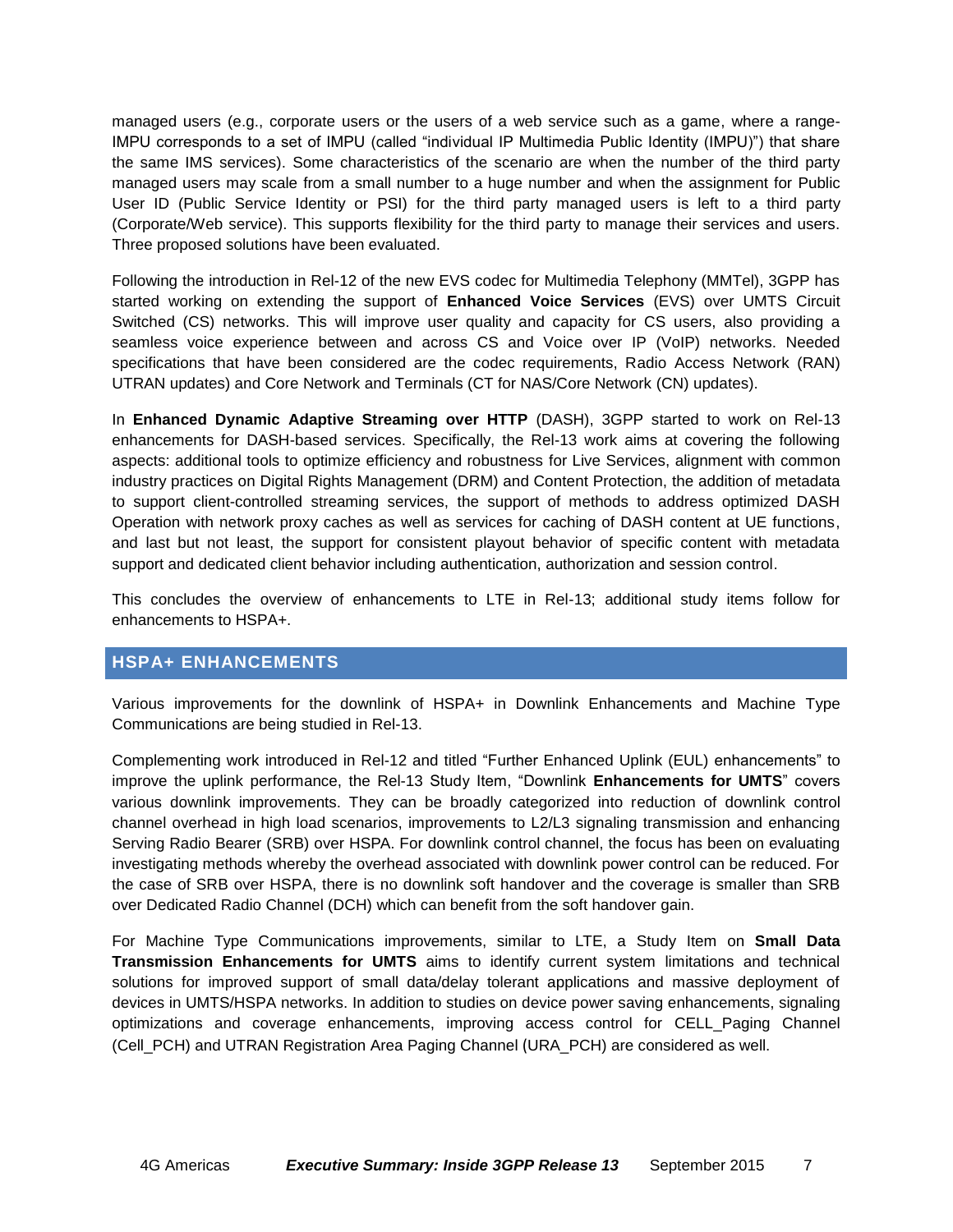managed users (e.g., corporate users or the users of a web service such as a game, where a range-IMPU corresponds to a set of IMPU (called "individual IP Multimedia Public Identity (IMPU)") that share the same IMS services). Some characteristics of the scenario are when the number of the third party managed users may scale from a small number to a huge number and when the assignment for Public User ID (Public Service Identity or PSI) for the third party managed users is left to a third party (Corporate/Web service). This supports flexibility for the third party to manage their services and users. Three proposed solutions have been evaluated.

Following the introduction in Rel-12 of the new EVS codec for Multimedia Telephony (MMTel), 3GPP has started working on extending the support of **Enhanced Voice Services** (EVS) over UMTS Circuit Switched (CS) networks. This will improve user quality and capacity for CS users, also providing a seamless voice experience between and across CS and Voice over IP (VoIP) networks. Needed specifications that have been considered are the codec requirements, Radio Access Network (RAN) UTRAN updates) and Core Network and Terminals (CT for NAS/Core Network (CN) updates).

In **Enhanced Dynamic Adaptive Streaming over HTTP** (DASH), 3GPP started to work on Rel-13 enhancements for DASH-based services. Specifically, the Rel-13 work aims at covering the following aspects: additional tools to optimize efficiency and robustness for Live Services, alignment with common industry practices on Digital Rights Management (DRM) and Content Protection, the addition of metadata to support client-controlled streaming services, the support of methods to address optimized DASH Operation with network proxy caches as well as services for caching of DASH content at UE functions, and last but not least, the support for consistent playout behavior of specific content with metadata support and dedicated client behavior including authentication, authorization and session control.

This concludes the overview of enhancements to LTE in Rel-13; additional study items follow for enhancements to HSPA+.

# **HSPA+ ENHANCEMENTS**

Various improvements for the downlink of HSPA+ in Downlink Enhancements and Machine Type Communications are being studied in Rel-13.

Complementing work introduced in Rel-12 and titled "Further Enhanced Uplink (EUL) enhancements" to improve the uplink performance, the Rel-13 Study Item, "Downlink **Enhancements for UMTS**" covers various downlink improvements. They can be broadly categorized into reduction of downlink control channel overhead in high load scenarios, improvements to L2/L3 signaling transmission and enhancing Serving Radio Bearer (SRB) over HSPA. For downlink control channel, the focus has been on evaluating investigating methods whereby the overhead associated with downlink power control can be reduced. For the case of SRB over HSPA, there is no downlink soft handover and the coverage is smaller than SRB over Dedicated Radio Channel (DCH) which can benefit from the soft handover gain.

For Machine Type Communications improvements, similar to LTE, a Study Item on **Small Data Transmission Enhancements for UMTS** aims to identify current system limitations and technical solutions for improved support of small data/delay tolerant applications and massive deployment of devices in UMTS/HSPA networks. In addition to studies on device power saving enhancements, signaling optimizations and coverage enhancements, improving access control for CELL\_Paging Channel (Cell\_PCH) and UTRAN Registration Area Paging Channel (URA\_PCH) are considered as well.